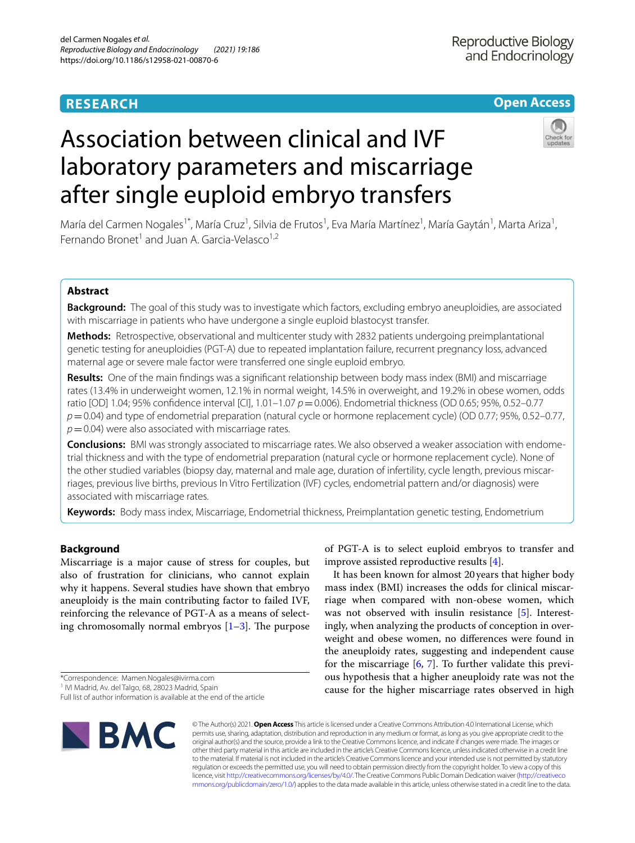# **RESEARCH**

## **Open Access**

# Association between clinical and IVF laboratory parameters and miscarriage after single euploid embryo transfers



María del Carmen Nogales<sup>1\*</sup>, María Cruz<sup>1</sup>, Silvia de Frutos<sup>1</sup>, Eva María Martínez<sup>1</sup>, María Gaytán<sup>1</sup>, Marta Ariza<sup>1</sup>, Fernando Bronet<sup>1</sup> and Juan A. Garcia-Velasco<sup>1,2</sup>

## **Abstract**

**Background:** The goal of this study was to investigate which factors, excluding embryo aneuploidies, are associated with miscarriage in patients who have undergone a single euploid blastocyst transfer.

**Methods:** Retrospective, observational and multicenter study with 2832 patients undergoing preimplantational genetic testing for aneuploidies (PGT-A) due to repeated implantation failure, recurrent pregnancy loss, advanced maternal age or severe male factor were transferred one single euploid embryo.

**Results:** One of the main fndings was a signifcant relationship between body mass index (BMI) and miscarriage rates (13.4% in underweight women, 12.1% in normal weight, 14.5% in overweight, and 19.2% in obese women, odds ratio [OD] 1.04; 95% confdence interval [CI], 1.01–1.07 *p*=0.006). Endometrial thickness (OD 0.65; 95%, 0.52–0.77 *p*=0.04) and type of endometrial preparation (natural cycle or hormone replacement cycle) (OD 0.77; 95%, 0.52–0.77,  $p$  = 0.04) were also associated with miscarriage rates.

**Conclusions:** BMI was strongly associated to miscarriage rates. We also observed a weaker association with endome‑ trial thickness and with the type of endometrial preparation (natural cycle or hormone replacement cycle). None of the other studied variables (biopsy day, maternal and male age, duration of infertility, cycle length, previous miscarriages, previous live births, previous In Vitro Fertilization (IVF) cycles, endometrial pattern and/or diagnosis) were associated with miscarriage rates.

**Keywords:** Body mass index, Miscarriage, Endometrial thickness, Preimplantation genetic testing, Endometrium

## **Background**

Miscarriage is a major cause of stress for couples, but also of frustration for clinicians, who cannot explain why it happens. Several studies have shown that embryo aneuploidy is the main contributing factor to failed IVF, reinforcing the relevance of PGT-A as a means of selecting chromosomally normal embryos  $[1-3]$  $[1-3]$ . The purpose

\*Correspondence: Mamen.Nogales@ivirma.com

<sup>1</sup> IVI Madrid, Av. del Talgo, 68, 28023 Madrid, Spain

Full list of author information is available at the end of the article



of PGT-A is to select euploid embryos to transfer and improve assisted reproductive results [\[4](#page-7-2)].

It has been known for almost 20years that higher body mass index (BMI) increases the odds for clinical miscarriage when compared with non-obese women, which was not observed with insulin resistance [[5\]](#page-7-3). Interestingly, when analyzing the products of conception in overweight and obese women, no diferences were found in the aneuploidy rates, suggesting and independent cause for the miscarriage  $[6, 7]$  $[6, 7]$  $[6, 7]$ . To further validate this previous hypothesis that a higher aneuploidy rate was not the cause for the higher miscarriage rates observed in high

© The Author(s) 2021. **Open Access** This article is licensed under a Creative Commons Attribution 4.0 International License, which permits use, sharing, adaptation, distribution and reproduction in any medium or format, as long as you give appropriate credit to the original author(s) and the source, provide a link to the Creative Commons licence, and indicate if changes were made. The images or other third party material in this article are included in the article's Creative Commons licence, unless indicated otherwise in a credit line to the material. If material is not included in the article's Creative Commons licence and your intended use is not permitted by statutory regulation or exceeds the permitted use, you will need to obtain permission directly from the copyright holder. To view a copy of this licence, visit [http://creativecommons.org/licenses/by/4.0/.](http://creativecommons.org/licenses/by/4.0/) The Creative Commons Public Domain Dedication waiver ([http://creativeco](http://creativecommons.org/publicdomain/zero/1.0/) [mmons.org/publicdomain/zero/1.0/](http://creativecommons.org/publicdomain/zero/1.0/)) applies to the data made available in this article, unless otherwise stated in a credit line to the data.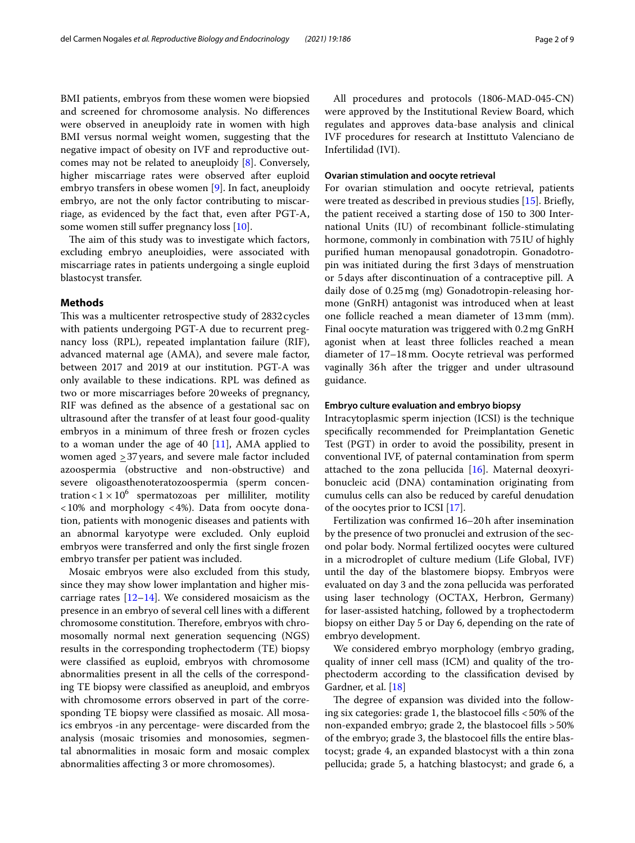BMI patients, embryos from these women were biopsied and screened for chromosome analysis. No diferences were observed in aneuploidy rate in women with high BMI versus normal weight women, suggesting that the negative impact of obesity on IVF and reproductive outcomes may not be related to aneuploidy [\[8\]](#page-7-6). Conversely, higher miscarriage rates were observed after euploid embryo transfers in obese women [\[9](#page-7-7)]. In fact, aneuploidy embryo, are not the only factor contributing to miscarriage, as evidenced by the fact that, even after PGT-A, some women still suffer pregnancy loss [[10](#page-7-8)].

The aim of this study was to investigate which factors, excluding embryo aneuploidies, were associated with miscarriage rates in patients undergoing a single euploid blastocyst transfer.

## **Methods**

This was a multicenter retrospective study of 2832 cycles with patients undergoing PGT-A due to recurrent pregnancy loss (RPL), repeated implantation failure (RIF), advanced maternal age (AMA), and severe male factor, between 2017 and 2019 at our institution. PGT-A was only available to these indications. RPL was defned as two or more miscarriages before 20weeks of pregnancy, RIF was defned as the absence of a gestational sac on ultrasound after the transfer of at least four good-quality embryos in a minimum of three fresh or frozen cycles to a woman under the age of 40 [\[11\]](#page-7-9), AMA applied to women aged  $\geq$  37 years, and severe male factor included azoospermia (obstructive and non-obstructive) and severe oligoasthenoteratozoospermia (sperm concentration <  $1 \times 10^6$  spermatozoas per milliliter, motility <10% and morphology <4%). Data from oocyte donation, patients with monogenic diseases and patients with an abnormal karyotype were excluded. Only euploid embryos were transferred and only the frst single frozen embryo transfer per patient was included.

Mosaic embryos were also excluded from this study, since they may show lower implantation and higher miscarriage rates  $[12-14]$  $[12-14]$  $[12-14]$ . We considered mosaicism as the presence in an embryo of several cell lines with a diferent chromosome constitution. Therefore, embryos with chromosomally normal next generation sequencing (NGS) results in the corresponding trophectoderm (TE) biopsy were classifed as euploid, embryos with chromosome abnormalities present in all the cells of the corresponding TE biopsy were classifed as aneuploid, and embryos with chromosome errors observed in part of the corresponding TE biopsy were classifed as mosaic. All mosaics embryos -in any percentage- were discarded from the analysis (mosaic trisomies and monosomies, segmental abnormalities in mosaic form and mosaic complex abnormalities afecting 3 or more chromosomes).

All procedures and protocols (1806-MAD-045-CN) were approved by the Institutional Review Board, which regulates and approves data-base analysis and clinical IVF procedures for research at Instittuto Valenciano de Infertilidad (IVI).

## **Ovarian stimulation and oocyte retrieval**

For ovarian stimulation and oocyte retrieval, patients were treated as described in previous studies [[15](#page-7-12)]. Briefy, the patient received a starting dose of 150 to 300 International Units (IU) of recombinant follicle-stimulating hormone, commonly in combination with 75 IU of highly purifed human menopausal gonadotropin. Gonadotropin was initiated during the frst 3days of menstruation or 5days after discontinuation of a contraceptive pill. A daily dose of 0.25mg (mg) Gonadotropin-releasing hormone (GnRH) antagonist was introduced when at least one follicle reached a mean diameter of 13mm (mm). Final oocyte maturation was triggered with 0.2mg GnRH agonist when at least three follicles reached a mean diameter of 17–18mm. Oocyte retrieval was performed vaginally 36h after the trigger and under ultrasound guidance.

## **Embryo culture evaluation and embryo biopsy**

Intracytoplasmic sperm injection (ICSI) is the technique specifcally recommended for Preimplantation Genetic Test (PGT) in order to avoid the possibility, present in conventional IVF, of paternal contamination from sperm attached to the zona pellucida [[16\]](#page-7-13). Maternal deoxyribonucleic acid (DNA) contamination originating from cumulus cells can also be reduced by careful denudation of the oocytes prior to ICSI [[17](#page-7-14)].

Fertilization was confrmed 16–20h after insemination by the presence of two pronuclei and extrusion of the second polar body. Normal fertilized oocytes were cultured in a microdroplet of culture medium (Life Global, IVF) until the day of the blastomere biopsy. Embryos were evaluated on day 3 and the zona pellucida was perforated using laser technology (OCTAX, Herbron, Germany) for laser-assisted hatching, followed by a trophectoderm biopsy on either Day 5 or Day 6, depending on the rate of embryo development.

We considered embryo morphology (embryo grading, quality of inner cell mass (ICM) and quality of the trophectoderm according to the classifcation devised by Gardner, et al. [[18\]](#page-7-15)

The degree of expansion was divided into the following six categories: grade 1, the blastocoel fills  $<$  50% of the non-expanded embryo; grade 2, the blastocoel flls >50% of the embryo; grade 3, the blastocoel flls the entire blastocyst; grade 4, an expanded blastocyst with a thin zona pellucida; grade 5, a hatching blastocyst; and grade 6, a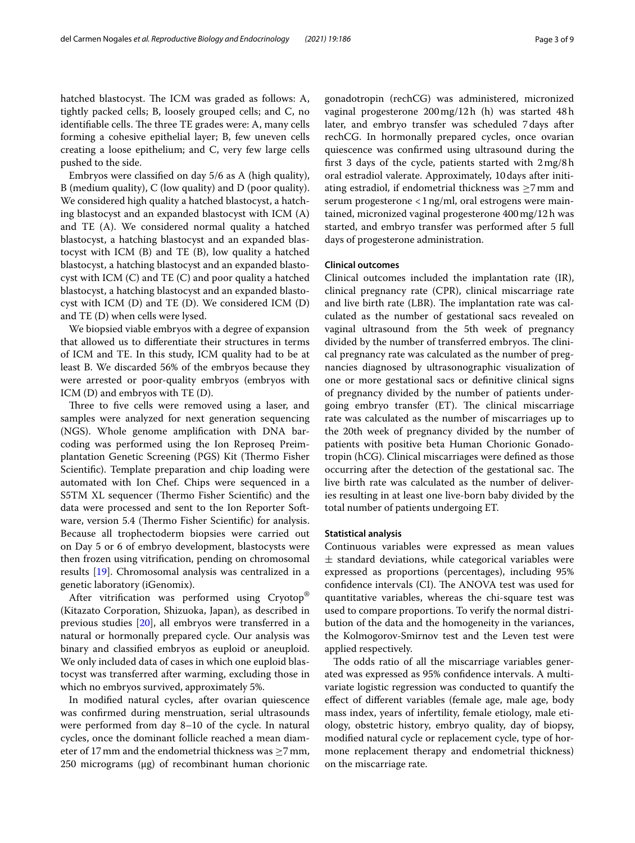hatched blastocyst. The ICM was graded as follows: A, tightly packed cells; B, loosely grouped cells; and C, no identifiable cells. The three TE grades were: A, many cells forming a cohesive epithelial layer; B, few uneven cells creating a loose epithelium; and C, very few large cells pushed to the side.

Embryos were classifed on day 5/6 as A (high quality), B (medium quality), C (low quality) and D (poor quality). We considered high quality a hatched blastocyst, a hatching blastocyst and an expanded blastocyst with ICM (A) and TE (A). We considered normal quality a hatched blastocyst, a hatching blastocyst and an expanded blastocyst with ICM (B) and TE (B), low quality a hatched blastocyst, a hatching blastocyst and an expanded blastocyst with ICM (C) and TE (C) and poor quality a hatched blastocyst, a hatching blastocyst and an expanded blastocyst with ICM (D) and TE (D). We considered ICM (D) and TE (D) when cells were lysed.

We biopsied viable embryos with a degree of expansion that allowed us to diferentiate their structures in terms of ICM and TE. In this study, ICM quality had to be at least B. We discarded 56% of the embryos because they were arrested or poor-quality embryos (embryos with ICM (D) and embryos with TE (D).

Three to five cells were removed using a laser, and samples were analyzed for next generation sequencing (NGS). Whole genome amplifcation with DNA barcoding was performed using the Ion Reproseq Preimplantation Genetic Screening (PGS) Kit (Thermo Fisher Scientifc). Template preparation and chip loading were automated with Ion Chef. Chips were sequenced in a S5TM XL sequencer (Thermo Fisher Scientific) and the data were processed and sent to the Ion Reporter Software, version 5.4 (Thermo Fisher Scientific) for analysis. Because all trophectoderm biopsies were carried out on Day 5 or 6 of embryo development, blastocysts were then frozen using vitrifcation, pending on chromosomal results [\[19](#page-7-16)]. Chromosomal analysis was centralized in a genetic laboratory (iGenomix).

After vitrifcation was performed using Cryotop® (Kitazato Corporation, Shizuoka, Japan), as described in previous studies [[20\]](#page-7-17), all embryos were transferred in a natural or hormonally prepared cycle. Our analysis was binary and classifed embryos as euploid or aneuploid. We only included data of cases in which one euploid blastocyst was transferred after warming, excluding those in which no embryos survived, approximately 5%.

In modifed natural cycles, after ovarian quiescence was confrmed during menstruation, serial ultrasounds were performed from day 8–10 of the cycle. In natural cycles, once the dominant follicle reached a mean diameter of 17 mm and the endometrial thickness was  $\geq$ 7 mm, 250 micrograms (μg) of recombinant human chorionic gonadotropin (rechCG) was administered, micronized vaginal progesterone 200mg/12h (h) was started 48h later, and embryo transfer was scheduled 7days after rechCG. In hormonally prepared cycles, once ovarian quiescence was confrmed using ultrasound during the frst 3 days of the cycle, patients started with 2mg/8h oral estradiol valerate. Approximately, 10days after initiating estradiol, if endometrial thickness was  $\geq$ 7mm and serum progesterone <1 ng/ml, oral estrogens were maintained, micronized vaginal progesterone 400mg/12h was started, and embryo transfer was performed after 5 full days of progesterone administration.

## **Clinical outcomes**

Clinical outcomes included the implantation rate (IR), clinical pregnancy rate (CPR), clinical miscarriage rate and live birth rate (LBR). The implantation rate was calculated as the number of gestational sacs revealed on vaginal ultrasound from the 5th week of pregnancy divided by the number of transferred embryos. The clinical pregnancy rate was calculated as the number of pregnancies diagnosed by ultrasonographic visualization of one or more gestational sacs or defnitive clinical signs of pregnancy divided by the number of patients undergoing embryo transfer (ET). The clinical miscarriage rate was calculated as the number of miscarriages up to the 20th week of pregnancy divided by the number of patients with positive beta Human Chorionic Gonadotropin (hCG). Clinical miscarriages were defned as those occurring after the detection of the gestational sac. The live birth rate was calculated as the number of deliveries resulting in at least one live-born baby divided by the total number of patients undergoing ET.

#### **Statistical analysis**

Continuous variables were expressed as mean values  $\pm$  standard deviations, while categorical variables were expressed as proportions (percentages), including 95% confidence intervals (CI). The ANOVA test was used for quantitative variables, whereas the chi-square test was used to compare proportions. To verify the normal distribution of the data and the homogeneity in the variances, the Kolmogorov-Smirnov test and the Leven test were applied respectively.

The odds ratio of all the miscarriage variables generated was expressed as 95% confdence intervals. A multivariate logistic regression was conducted to quantify the efect of diferent variables (female age, male age, body mass index, years of infertility, female etiology, male etiology, obstetric history, embryo quality, day of biopsy, modifed natural cycle or replacement cycle, type of hormone replacement therapy and endometrial thickness) on the miscarriage rate.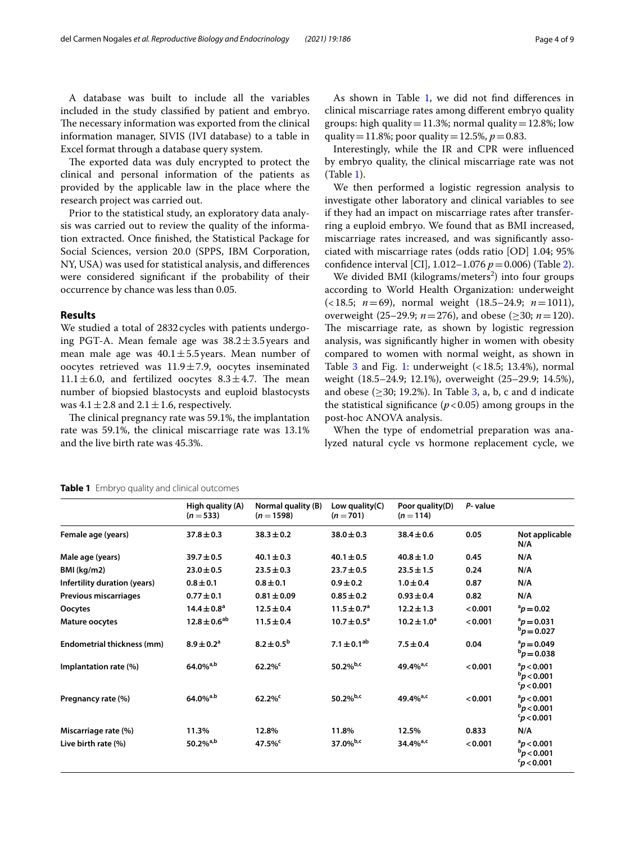A database was built to include all the variables included in the study classifed by patient and embryo. The necessary information was exported from the clinical information manager, SIVIS (IVI database) to a table in Excel format through a database query system.

The exported data was duly encrypted to protect the clinical and personal information of the patients as provided by the applicable law in the place where the research project was carried out.

Prior to the statistical study, an exploratory data analysis was carried out to review the quality of the information extracted. Once fnished, the Statistical Package for Social Sciences, version 20.0 (SPPS, IBM Corporation, NY, USA) was used for statistical analysis, and diferences were considered signifcant if the probability of their occurrence by chance was less than 0.05.

## **Results**

We studied a total of 2832 cycles with patients undergoing PGT-A. Mean female age was  $38.2 \pm 3.5$  years and mean male age was  $40.1 \pm 5.5$  years. Mean number of oocytes retrieved was  $11.9 \pm 7.9$ , oocytes inseminated  $11.1 \pm 6.0$ , and fertilized oocytes  $8.3 \pm 4.7$ . The mean number of biopsied blastocysts and euploid blastocysts was  $4.1 \pm 2.8$  and  $2.1 \pm 1.6$ , respectively.

The clinical pregnancy rate was 59.1%, the implantation rate was 59.1%, the clinical miscarriage rate was 13.1% and the live birth rate was 45.3%.

As shown in Table [1](#page-3-0), we did not find differences in clinical miscarriage rates among diferent embryo quality groups: high quality = 11.3%; normal quality = 12.8%; low quality = 11.8%; poor quality = 12.5%,  $p = 0.83$ .

Interestingly, while the IR and CPR were infuenced by embryo quality, the clinical miscarriage rate was not (Table [1\)](#page-3-0).

We then performed a logistic regression analysis to investigate other laboratory and clinical variables to see if they had an impact on miscarriage rates after transferring a euploid embryo. We found that as BMI increased, miscarriage rates increased, and was signifcantly associated with miscarriage rates (odds ratio [OD] 1.04; 95% confdence interval [CI], 1.012–1.076 *p*=0.006) (Table [2](#page-4-0)).

We divided BMI (kilograms/meters<sup>2</sup>) into four groups according to World Health Organization: underweight (<18.5; *n*=69), normal weight (18.5–24.9; *n*=1011), overweight (25–29.9; *n*=276), and obese (≥30; *n*=120). The miscarriage rate, as shown by logistic regression analysis, was signifcantly higher in women with obesity compared to women with normal weight, as shown in Table  $3$  and Fig. [1:](#page-5-0) underweight  $($  < 18.5; 13.4%), normal weight (18.5–24.9; 12.1%), overweight (25–29.9; 14.5%), and obese ( $\geq$ 30; 19.2%). In Table [3,](#page-4-1) a, b, c and d indicate the statistical significance  $(p < 0.05)$  among groups in the post-hoc ANOVA analysis.

When the type of endometrial preparation was analyzed natural cycle vs hormone replacement cycle, we

|                              | High quality (A)<br>$(n=533)$ | Normal quality (B)<br>$(n = 1598)$ | Low quality $(C)$<br>$(n = 701)$ | Poor quality(D)<br>$(n = 114)$ | P-value |                                                              |
|------------------------------|-------------------------------|------------------------------------|----------------------------------|--------------------------------|---------|--------------------------------------------------------------|
| Female age (years)           | $37.8 \pm 0.3$                | $38.3 \pm 0.2$                     | $38.0 \pm 0.3$                   | $38.4 \pm 0.6$                 | 0.05    | Not applicable<br>N/A                                        |
| Male age (years)             | $39.7 \pm 0.5$                | $40.1 \pm 0.3$                     | $40.1 \pm 0.5$                   | $40.8 \pm 1.0$                 | 0.45    | N/A                                                          |
| BMI (kg/m2)                  | $23.0 \pm 0.5$                | $23.5 \pm 0.3$                     | $23.7 \pm 0.5$                   | $23.5 \pm 1.5$                 | 0.24    | N/A                                                          |
| Infertility duration (years) | $0.8 \pm 0.1$                 | $0.8 \pm 0.1$                      | $0.9 \pm 0.2$                    | $1.0 \pm 0.4$                  | 0.87    | N/A                                                          |
| Previous miscarriages        | $0.77 \pm 0.1$                | $0.81 \pm 0.09$                    | $0.85 \pm 0.2$                   | $0.93 \pm 0.4$                 | 0.82    | N/A                                                          |
| Oocytes                      | $14.4 \pm 0.8^{\circ}$        | $12.5 \pm 0.4$                     | $11.5 \pm 0.7^{\circ}$           | $12.2 \pm 1.3$                 | < 0.001 | $a_p = 0.02$                                                 |
| Mature oocytes               | $12.8 \pm 0.6^{ab}$           | $11.5 \pm 0.4$                     | $10.7 \pm 0.5^a$                 | $10.2 \pm 1.0^a$               | < 0.001 | $p = 0.031$<br>$b_p = 0.027$                                 |
| Endometrial thickness (mm)   | $8.9 \pm 0.2$ <sup>a</sup>    | $8.2 \pm 0.5^{\rm b}$              | 7.1 $\pm$ 0.1 <sup>ab</sup>      | $7.5 \pm 0.4$                  | 0.04    | $a_{D} = 0.049$<br>$b_p = 0.038$                             |
| Implantation rate (%)        | $64.0\%$ <sup>a,b</sup>       | $62.2\%$                           | 50.2% $b,c$                      | 49.4% <sup>a,c</sup>           | < 0.001 | $a$ <i>p</i> < 0.001<br>$b$ p < 0.001<br>$\rm{^c}$ p < 0.001 |
| Pregnancy rate (%)           | 64.0% <sup>a.b</sup>          | $62.2\%$                           | 50.2% $b,c$                      | 49.4% <sup>a,c</sup>           | < 0.001 | $\rm ^{a}p$ < 0.001<br>$b_p$ < 0.001<br>$^{c}p$ < 0.001      |
| Miscarriage rate (%)         | 11.3%                         | 12.8%                              | 11.8%                            | 12.5%                          | 0.833   | N/A                                                          |
| Live birth rate (%)          | $50.2\%$ <sup>a,b</sup>       | $47.5\%$ <sup>c</sup>              | 37.0% $b,c$                      | $34.4\%$ <sup>a,c</sup>        | < 0.001 | $a_p$ < 0.001<br>$b_p$ < 0.001<br>$p$ < 0.001                |

#### <span id="page-3-0"></span>**Table 1** Embryo quality and clinical outcomes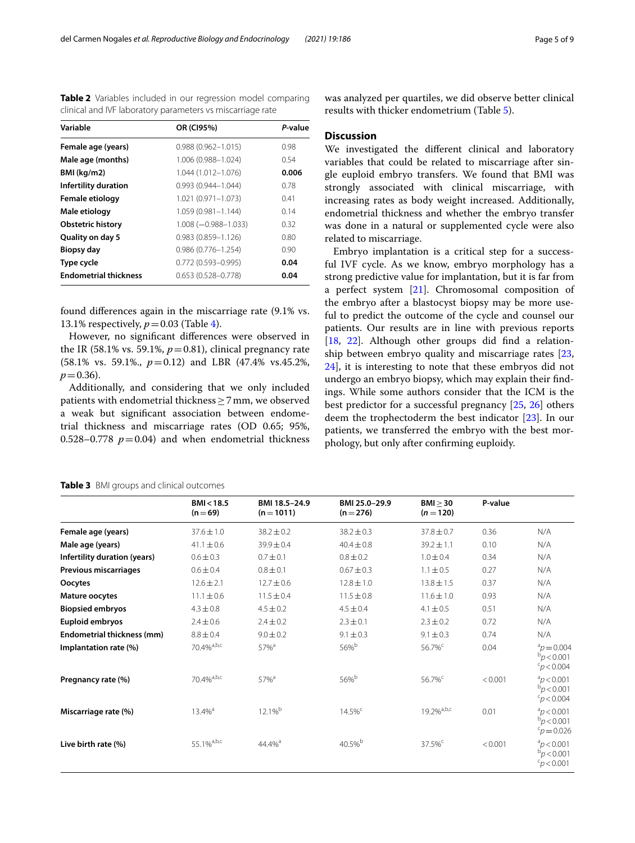found diferences again in the miscarriage rate (9.1% vs. 13.1% respectively,  $p = 0.03$  (Table [4\)](#page-5-1).

**Biopsy day** 0.986 (0.776–1.254) 0.90 **Type cycle 0.772 (0.593–0.995) <b>0.04 Endometrial thickness** 0.653 (0.528–0.778) **0.04**

0.983 (0.859-1.126)

However, no signifcant diferences were observed in the IR (58.1% vs. 59.1%,  $p=0.81$ ), clinical pregnancy rate (58.1% vs. 59.1%., *p*=0.12) and LBR (47.4% vs.45.2%,  $p = 0.36$ .

Additionally, and considering that we only included patients with endometrial thickness  $\geq$  7 mm, we observed a weak but signifcant association between endometrial thickness and miscarriage rates (OD 0.65; 95%, 0.528–0.778  $p = 0.04$ ) and when endometrial thickness was analyzed per quartiles, we did observe better clinical results with thicker endometrium (Table [5](#page-6-0)).

#### **Discussion**

We investigated the diferent clinical and laboratory variables that could be related to miscarriage after single euploid embryo transfers. We found that BMI was strongly associated with clinical miscarriage, with increasing rates as body weight increased. Additionally, endometrial thickness and whether the embryo transfer was done in a natural or supplemented cycle were also related to miscarriage.

Embryo implantation is a critical step for a successful IVF cycle. As we know, embryo morphology has a strong predictive value for implantation, but it is far from a perfect system [\[21](#page-7-18)]. Chromosomal composition of the embryo after a blastocyst biopsy may be more useful to predict the outcome of the cycle and counsel our patients. Our results are in line with previous reports [[18,](#page-7-15) [22\]](#page-7-19). Although other groups did fnd a relationship between embryo quality and miscarriage rates [[23](#page-7-20), [24\]](#page-7-21), it is interesting to note that these embryos did not undergo an embryo biopsy, which may explain their fndings. While some authors consider that the ICM is the best predictor for a successful pregnancy [[25](#page-7-22), [26\]](#page-7-23) others deem the trophectoderm the best indicator [\[23](#page-7-20)]. In our patients, we transferred the embryo with the best morphology, but only after confrming euploidy.

<span id="page-4-1"></span>

|  |  |  |  |  | Table 3 BMI groups and clinical outcomes |
|--|--|--|--|--|------------------------------------------|
|--|--|--|--|--|------------------------------------------|

|                              | BM < 18.5<br>$(n=69)$     | BMI 18.5-24.9<br>$(n=1011)$ | BMI 25.0-29.9<br>$(n=276)$ | BMI > 30<br>$(n=120)$  | P-value |                                                          |
|------------------------------|---------------------------|-----------------------------|----------------------------|------------------------|---------|----------------------------------------------------------|
| Female age (years)           | $37.6 \pm 1.0$            | $38.2 \pm 0.2$              | $38.2 \pm 0.3$             | $37.8 \pm 0.7$         | 0.36    | N/A                                                      |
| Male age (years)             | $41.1 \pm 0.6$            | $39.9 \pm 0.4$              | $40.4 \pm 0.8$             | $39.2 \pm 1.1$         | 0.10    | N/A                                                      |
| Infertility duration (years) | $0.6 \pm 0.3$             | $0.7 \pm 0.1$               | $0.8 \pm 0.2$              | $1.0 \pm 0.4$          | 0.34    | N/A                                                      |
| Previous miscarriages        | $0.6 \pm 0.4$             | $0.8 \pm 0.1$               | $0.67 \pm 0.3$             | $1.1 \pm 0.5$          | 0.27    | N/A                                                      |
| Oocytes                      | $12.6 \pm 2.1$            | $12.7 \pm 0.6$              | $12.8 \pm 1.0$             | $13.8 \pm 1.5$         | 0.37    | N/A                                                      |
| Mature oocytes               | $11.1 \pm 0.6$            | $11.5 \pm 0.4$              | $11.5 \pm 0.8$             | $11.6 \pm 1.0$         | 0.93    | N/A                                                      |
| <b>Biopsied embryos</b>      | $4.3 \pm 0.8$             | $4.5 \pm 0.2$               | $4.5 \pm 0.4$              | $4.1 \pm 0.5$          | 0.51    | N/A                                                      |
| <b>Euploid embryos</b>       | $2.4 \pm 0.6$             | $2.4 \pm 0.2$               | $2.3 \pm 0.1$              | $2.3 \pm 0.2$          | 0.72    | N/A                                                      |
| Endometrial thickness (mm)   | $8.8 \pm 0.4$             | $9.0 \pm 0.2$               | $9.1 \pm 0.3$              | $9.1 \pm 0.3$          | 0.74    | N/A                                                      |
| Implantation rate (%)        | $70.4\%$ <sup>a,b,c</sup> | 57% <sup>a</sup>            | 56%b                       | 56.7% <sup>c</sup>     | 0.04    | $p^{a}$ $p = 0.004$<br>$b_p$ < 0.001<br>$p$ < 0.004      |
| Pregnancy rate (%)           | 70.4% <sup>a,b,c</sup>    | 57% <sup>a</sup>            | 56%b                       | 56.7% <sup>c</sup>     | < 0.001 | $a_p$ < 0.001<br>$b_p < 0.001$<br>$\frac{c}{p}$ < 0.004  |
| Miscarriage rate (%)         | $13.4%$ <sup>a</sup>      | 12.1% <sup>b</sup>          | $14.5\%$ <sup>c</sup>      | 19.2% <sup>a,b,c</sup> | 0.01    | $a_D < 0.001$<br>$b_p < 0.001$<br>$p = 0.026$            |
| Live birth rate (%)          | 55.1% <sup>a,b,c</sup>    | 44.4% <sup>a</sup>          | 40.5%b                     | 37.5% <sup>c</sup>     | < 0.001 | $a_p$ < 0.001<br>$b_p$ < 0.001<br>c <sub>p</sub> < 0.001 |

<span id="page-4-0"></span>**Table 2** Variables included in our regression model comparing clinical and IVF laboratory parameters vs miscarriage rate

**Variable OR (CI95%)** *P***-value Female age (years)** 0.988 (0.962–1.015) 0.98 **Male age (months)** 1.006 (0.988–1.024) 0.54 **BMI (kg/m2)** 1.044 (1.012–1.076) **0.006 Infertility duration** 0.993 (0.944–1.044) 0.78 **Female etiology** 1.021 (0.971-1.073) 0.41 **Male etiology** 1.059 (0.981-1.144) 0.14 **Obstetric history** 1.008 (−0.988–1.033) 0.32<br> **Quality on day 5** 0.983 (0.859–1.126) 0.80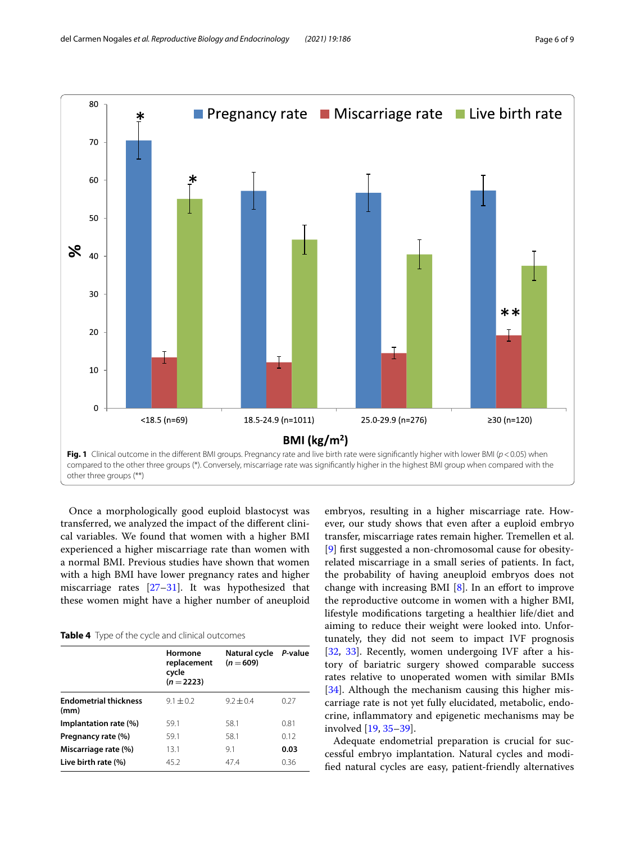

<span id="page-5-0"></span>Once a morphologically good euploid blastocyst was transferred, we analyzed the impact of the diferent clinical variables. We found that women with a higher BMI experienced a higher miscarriage rate than women with a normal BMI. Previous studies have shown that women with a high BMI have lower pregnancy rates and higher miscarriage rates  $[27-31]$  $[27-31]$  $[27-31]$ . It was hypothesized that these women might have a higher number of aneuploid

<span id="page-5-1"></span>

|                                      | Hormone<br>replacement<br>cycle<br>$(n=2223)$ | Natural cycle<br>$(n = 609)$ | P-value |
|--------------------------------------|-----------------------------------------------|------------------------------|---------|
| <b>Endometrial thickness</b><br>(mm) | $9.1 \pm 0.2$                                 | $9.2 + 0.4$                  | 0.27    |
| Implantation rate (%)                | 59.1                                          | 58.1                         | 0.81    |
| Pregnancy rate (%)                   | 59.1                                          | 58.1                         | 0.12    |
| Miscarriage rate (%)                 | 13.1                                          | 9.1                          | 0.03    |
| Live birth rate (%)                  | 45.2                                          | 47.4                         | 0.36    |

embryos, resulting in a higher miscarriage rate. However, our study shows that even after a euploid embryo transfer, miscarriage rates remain higher. Tremellen et al. [[9\]](#page-7-7) frst suggested a non-chromosomal cause for obesityrelated miscarriage in a small series of patients. In fact, the probability of having aneuploid embryos does not change with increasing BMI  $[8]$  $[8]$  $[8]$ . In an effort to improve the reproductive outcome in women with a higher BMI, lifestyle modifcations targeting a healthier life/diet and aiming to reduce their weight were looked into. Unfortunately, they did not seem to impact IVF prognosis [[32,](#page-8-1) [33](#page-8-2)]. Recently, women undergoing IVF after a history of bariatric surgery showed comparable success rates relative to unoperated women with similar BMIs [[34\]](#page-8-3). Although the mechanism causing this higher miscarriage rate is not yet fully elucidated, metabolic, endocrine, infammatory and epigenetic mechanisms may be involved [[19,](#page-7-16) [35](#page-8-4)[–39\]](#page-8-5).

Adequate endometrial preparation is crucial for successful embryo implantation. Natural cycles and modifed natural cycles are easy, patient-friendly alternatives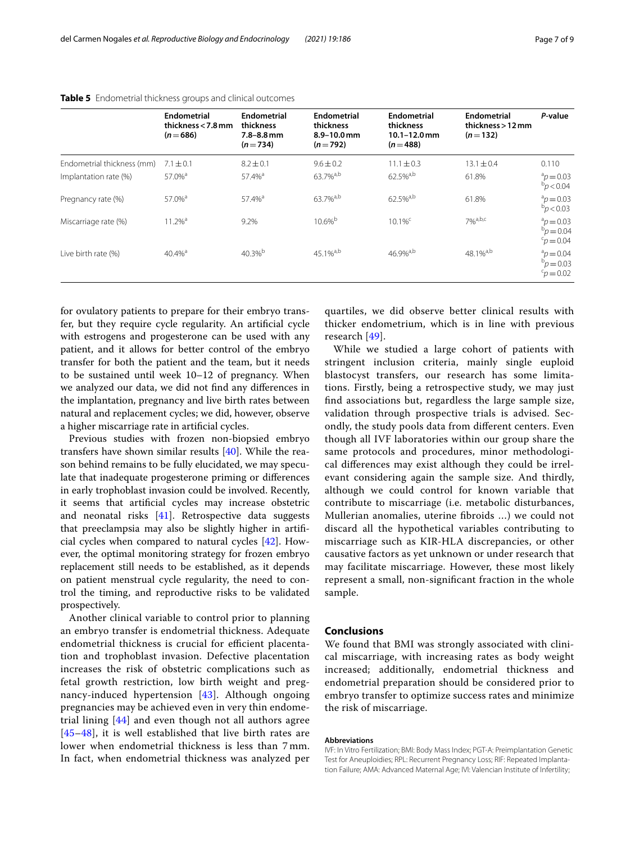|                            | Endometrial<br>thickness $<$ 7.8 mm<br>$(n=686)$ | Endometrial<br>thickness<br>$7.8 - 8.8$ mm<br>$(n=734)$ | Endometrial<br>thickness<br>$8.9 - 10.0$ mm<br>$(n=792)$ | Endometrial<br>thickness<br>$10.1 - 12.0$ mm<br>$(n=488)$ | Endometrial<br>thickness > 12 mm<br>$(n=132)$ | P-value                                    |
|----------------------------|--------------------------------------------------|---------------------------------------------------------|----------------------------------------------------------|-----------------------------------------------------------|-----------------------------------------------|--------------------------------------------|
| Endometrial thickness (mm) | $7.1 \pm 0.1$                                    | $8.2 \pm 0.1$                                           | $9.6 \pm 0.2$                                            | $11.1 \pm 0.3$                                            | $13.1 \pm 0.4$                                | 0.110                                      |
| Implantation rate (%)      | $57.0%$ <sup>a</sup>                             | 57.4% <sup>a</sup>                                      | 63.7% <sup>a,b</sup>                                     | 62.5%a,b                                                  | 61.8%                                         | $p = 0.03$<br>$b_D < 0.04$                 |
| Pregnancy rate (%)         | 57.0% <sup>a</sup>                               | 57.4% <sup>a</sup>                                      | 63.7% <sup>a,b</sup>                                     | 62.5% <sup>a,b</sup>                                      | 61.8%                                         | $p = 0.03$<br>$b_D < 0.03$                 |
| Miscarriage rate (%)       | $11.2%$ <sup>a</sup>                             | 9.2%                                                    | $10.6\%$ <sup>b</sup>                                    | $10.1\%$ <sup>c</sup>                                     | $70/6$ a,b,c                                  | $p = 0.03$<br>$b_p = 0.04$<br>$c_p = 0.04$ |
| Live birth rate (%)        | $40.4%$ <sup>a</sup>                             | $40.3%^{b}$                                             | $45.1\%^{a,b}$                                           | $46.9%^{a,b}$                                             | $48.1\%^{a,b}$                                | $p = 0.04$<br>$b_p = 0.03$<br>$c_p = 0.02$ |

#### <span id="page-6-0"></span>**Table 5** Endometrial thickness groups and clinical outcomes

for ovulatory patients to prepare for their embryo transfer, but they require cycle regularity. An artifcial cycle with estrogens and progesterone can be used with any patient, and it allows for better control of the embryo transfer for both the patient and the team, but it needs to be sustained until week 10–12 of pregnancy. When we analyzed our data, we did not fnd any diferences in the implantation, pregnancy and live birth rates between natural and replacement cycles; we did, however, observe a higher miscarriage rate in artifcial cycles.

Previous studies with frozen non-biopsied embryo transfers have shown similar results [[40](#page-8-6)]. While the reason behind remains to be fully elucidated, we may speculate that inadequate progesterone priming or diferences in early trophoblast invasion could be involved. Recently, it seems that artifcial cycles may increase obstetric and neonatal risks [[41\]](#page-8-7). Retrospective data suggests that preeclampsia may also be slightly higher in artifcial cycles when compared to natural cycles [\[42](#page-8-8)]. However, the optimal monitoring strategy for frozen embryo replacement still needs to be established, as it depends on patient menstrual cycle regularity, the need to control the timing, and reproductive risks to be validated prospectively.

Another clinical variable to control prior to planning an embryo transfer is endometrial thickness. Adequate endometrial thickness is crucial for efficient placentation and trophoblast invasion. Defective placentation increases the risk of obstetric complications such as fetal growth restriction, low birth weight and pregnancy-induced hypertension [[43\]](#page-8-9). Although ongoing pregnancies may be achieved even in very thin endometrial lining [[44\]](#page-8-10) and even though not all authors agree [[45](#page-8-11)[–48](#page-8-12)], it is well established that live birth rates are lower when endometrial thickness is less than 7 mm. In fact, when endometrial thickness was analyzed per quartiles, we did observe better clinical results with thicker endometrium, which is in line with previous research [\[49](#page-8-13)].

While we studied a large cohort of patients with stringent inclusion criteria, mainly single euploid blastocyst transfers, our research has some limitations. Firstly, being a retrospective study, we may just fnd associations but, regardless the large sample size, validation through prospective trials is advised. Secondly, the study pools data from diferent centers. Even though all IVF laboratories within our group share the same protocols and procedures, minor methodological diferences may exist although they could be irrelevant considering again the sample size. And thirdly, although we could control for known variable that contribute to miscarriage (i.e. metabolic disturbances, Mullerian anomalies, uterine fbroids …) we could not discard all the hypothetical variables contributing to miscarriage such as KIR-HLA discrepancies, or other causative factors as yet unknown or under research that may facilitate miscarriage. However, these most likely represent a small, non-signifcant fraction in the whole sample.

## **Conclusions**

We found that BMI was strongly associated with clinical miscarriage, with increasing rates as body weight increased; additionally, endometrial thickness and endometrial preparation should be considered prior to embryo transfer to optimize success rates and minimize the risk of miscarriage.

#### **Abbreviations**

IVF: In Vitro Fertilization; BMI: Body Mass Index; PGT-A: Preimplantation Genetic Test for Aneuploidies; RPL: Recurrent Pregnancy Loss; RIF: Repeated Implanta‑ tion Failure; AMA: Advanced Maternal Age; IVI: Valencian Institute of Infertility;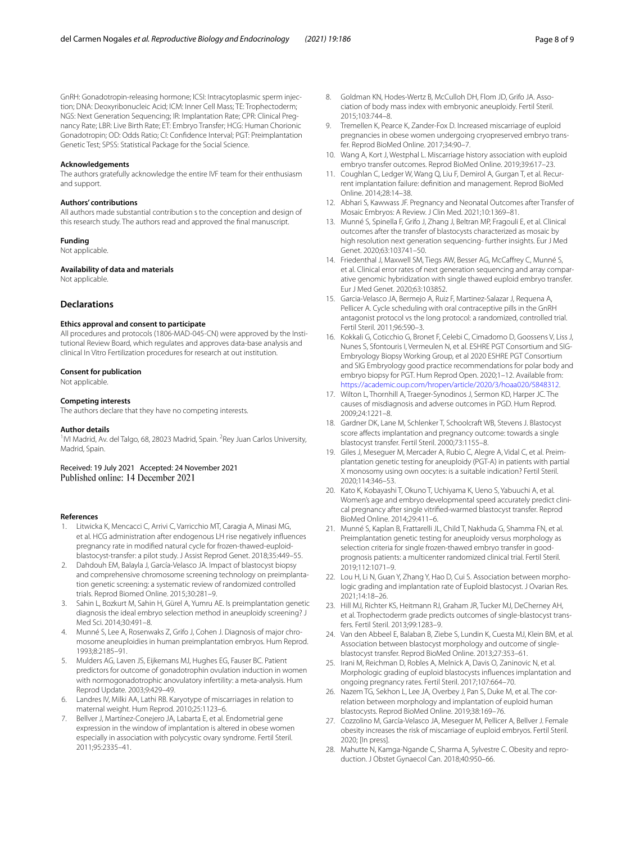GnRH: Gonadotropin-releasing hormone; ICSI: Intracytoplasmic sperm injection; DNA: Deoxyribonucleic Acid; ICM: Inner Cell Mass; TE: Trophectoderm; NGS: Next Generation Sequencing; IR: Implantation Rate; CPR: Clinical Preg‑ nancy Rate; LBR: Live Birth Rate; ET: Embryo Transfer; HCG: Human Chorionic Gonadotropin; OD: Odds Ratio; CI: Confdence Interval; PGT: Preimplantation Genetic Test; SPSS: Statistical Package for the Social Science.

#### **Acknowledgements**

The authors gratefully acknowledge the entire IVF team for their enthusiasm and support.

#### **Authors' contributions**

All authors made substantial contribution s to the conception and design of this research study. The authors read and approved the fnal manuscript.

#### **Funding**

Not applicable.

#### **Availability of data and materials**

Not applicable.

## **Declarations**

#### **Ethics approval and consent to participate**

All procedures and protocols (1806-MAD-045-CN) were approved by the Institutional Review Board, which regulates and approves data-base analysis and clinical In Vitro Fertilization procedures for research at out institution.

#### **Consent for publication**

Not applicable.

#### **Competing interests**

The authors declare that they have no competing interests.

#### **Author details**

<sup>1</sup>IVI Madrid, Av. del Talgo, 68, 28023 Madrid, Spain. <sup>2</sup>Rey Juan Carlos University, Madrid, Spain.

Received: 19 July 2021 Accepted: 24 November 2021

#### **References**

- <span id="page-7-0"></span>Litwicka K, Mencacci C, Arrivi C, Varricchio MT, Caragia A, Minasi MG, et al. HCG administration after endogenous LH rise negatively infuences pregnancy rate in modifed natural cycle for frozen-thawed-euploidblastocyst-transfer: a pilot study. J Assist Reprod Genet. 2018;35:449–55.
- 2. Dahdouh EM, Balayla J, García-Velasco JA. Impact of blastocyst biopsy and comprehensive chromosome screening technology on preimplantation genetic screening: a systematic review of randomized controlled trials. Reprod Biomed Online. 2015;30:281–9.
- <span id="page-7-1"></span>3. Sahin L, Bozkurt M, Sahin H, Gürel A, Yumru AE. Is preimplantation genetic diagnosis the ideal embryo selection method in aneuploidy screening? J Med Sci. 2014;30:491–8.
- <span id="page-7-2"></span>4. Munné S, Lee A, Rosenwaks Z, Grifo J, Cohen J. Diagnosis of major chromosome aneuploidies in human preimplantation embryos. Hum Reprod. 1993;8:2185–91.
- <span id="page-7-3"></span>5. Mulders AG, Laven JS, Eijkemans MJ, Hughes EG, Fauser BC. Patient predictors for outcome of gonadotrophin ovulation induction in women with normogonadotrophic anovulatory infertility: a meta-analysis. Hum Reprod Update. 2003;9:429–49.
- <span id="page-7-4"></span>6. Landres IV, Milki AA, Lathi RB. Karyotype of miscarriages in relation to maternal weight. Hum Reprod. 2010;25:1123–6.
- <span id="page-7-5"></span>Bellver J, Martínez-Conejero JA, Labarta E, et al. Endometrial gene expression in the window of implantation is altered in obese women especially in association with polycystic ovary syndrome. Fertil Steril. 2011;95:2335–41.
- <span id="page-7-6"></span>8. Goldman KN, Hodes-Wertz B, McCulloh DH, Flom JD, Grifo JA, Association of body mass index with embryonic aneuploidy. Fertil Steril. 2015;103:744–8.
- <span id="page-7-7"></span>9. Tremellen K, Pearce K, Zander-Fox D. Increased miscarriage of euploid pregnancies in obese women undergoing cryopreserved embryo trans‑ fer. Reprod BioMed Online. 2017;34:90–7.
- <span id="page-7-8"></span>10. Wang A, Kort J, Westphal L. Miscarriage history association with euploid embryo transfer outcomes. Reprod BioMed Online. 2019;39:617–23.
- <span id="page-7-9"></span>11. Coughlan C, Ledger W, Wang Q, Liu F, Demirol A, Gurgan T, et al. Recurrent implantation failure: defnition and management. Reprod BioMed Online. 2014;28:14–38.
- <span id="page-7-10"></span>12. Abhari S, Kawwass JF. Pregnancy and Neonatal Outcomes after Transfer of Mosaic Embryos: A Review. J Clin Med. 2021;10:1369–81.
- 13. Munné S, Spinella F, Grifo J, Zhang J, Beltran MP, Fragouli E, et al. Clinical outcomes after the transfer of blastocysts characterized as mosaic by high resolution next generation sequencing- further insights. Eur J Med Genet. 2020;63:103741–50.
- <span id="page-7-11"></span>14. Friedenthal J, Maxwell SM, Tiegs AW, Besser AG, McCafrey C, Munné S, et al. Clinical error rates of next generation sequencing and array comparative genomic hybridization with single thawed euploid embryo transfer. Eur J Med Genet. 2020;63:103852.
- <span id="page-7-12"></span>15. Garcia-Velasco JA, Bermejo A, Ruiz F, Martinez-Salazar J, Requena A, Pellicer A. Cycle scheduling with oral contraceptive pills in the GnRH antagonist protocol vs the long protocol: a randomized, controlled trial. Fertil Steril. 2011;96:590–3.
- <span id="page-7-13"></span>16. Kokkali G, Coticchio G, Bronet F, Celebi C, Cimadomo D, Goossens V, Liss J, Nunes S, Sfontouris I, Vermeulen N, et al. ESHRE PGT Consortium and SIG-Embryology Biopsy Working Group, et al 2020 ESHRE PGT Consortium and SIG Embryology good practice recommendations for polar body and embryo biopsy for PGT. Hum Reprod Open. 2020;1–12. Available from: [https://academic.oup.com/hropen/article/2020/3/hoaa020/5848312.](https://academic.oup.com/hropen/article/2020/3/hoaa020/5848312)
- <span id="page-7-14"></span>17. Wilton L, Thornhill A, Traeger-Synodinos J, Sermon KD, Harper JC. The causes of misdiagnosis and adverse outcomes in PGD. Hum Reprod. 2009;24:1221–8.
- <span id="page-7-15"></span>18. Gardner DK, Lane M, Schlenker T, Schoolcraft WB, Stevens J. Blastocyst score affects implantation and pregnancy outcome: towards a single blastocyst transfer. Fertil Steril. 2000;73:1155–8.
- <span id="page-7-16"></span>19. Giles J, Meseguer M, Mercader A, Rubio C, Alegre A, Vidal C, et al. Preimplantation genetic testing for aneuploidy (PGT-A) in patients with partial X monosomy using own oocytes: is a suitable indication? Fertil Steril. 2020;114:346–53.
- <span id="page-7-17"></span>20. Kato K, Kobayashi T, Okuno T, Uchiyama K, Ueno S, Yabuuchi A, et al. Women's age and embryo developmental speed accurately predict clinical pregnancy after single vitrifed-warmed blastocyst transfer. Reprod BioMed Online. 2014;29:411–6.
- <span id="page-7-18"></span>21. Munné S, Kaplan B, Frattarelli JL, Child T, Nakhuda G, Shamma FN, et al. Preimplantation genetic testing for aneuploidy versus morphology as selection criteria for single frozen-thawed embryo transfer in goodprognosis patients: a multicenter randomized clinical trial. Fertil Steril. 2019;112:1071–9.
- <span id="page-7-19"></span>22. Lou H, Li N, Guan Y, Zhang Y, Hao D, Cui S. Association between morphologic grading and implantation rate of Euploid blastocyst. J Ovarian Res. 2021;14:18–26.
- <span id="page-7-20"></span>23. Hill MJ, Richter KS, Heitmann RJ, Graham JR, Tucker MJ, DeCherney AH, et al. Trophectoderm grade predicts outcomes of single-blastocyst transfers. Fertil Steril. 2013;99:1283–9.
- <span id="page-7-21"></span>24. Van den Abbeel E, Balaban B, Ziebe S, Lundin K, Cuesta MJ, Klein BM, et al. Association between blastocyst morphology and outcome of singleblastocyst transfer. Reprod BioMed Online. 2013;27:353–61.
- <span id="page-7-22"></span>25. Irani M, Reichman D, Robles A, Melnick A, Davis O, Zaninovic N, et al. Morphologic grading of euploid blastocysts infuences implantation and ongoing pregnancy rates. Fertil Steril. 2017;107:664–70.
- <span id="page-7-23"></span>26. Nazem TG, Sekhon L, Lee JA, Overbey J, Pan S, Duke M, et al. The correlation between morphology and implantation of euploid human blastocysts. Reprod BioMed Online. 2019;38:169–76.
- <span id="page-7-24"></span>27. Cozzolino M, García-Velasco JA, Meseguer M, Pellicer A, Bellver J. Female obesity increases the risk of miscarriage of euploid embryos. Fertil Steril. 2020; [In press].
- 28. Mahutte N, Kamga-Ngande C, Sharma A, Sylvestre C. Obesity and reproduction. J Obstet Gynaecol Can. 2018;40:950–66.